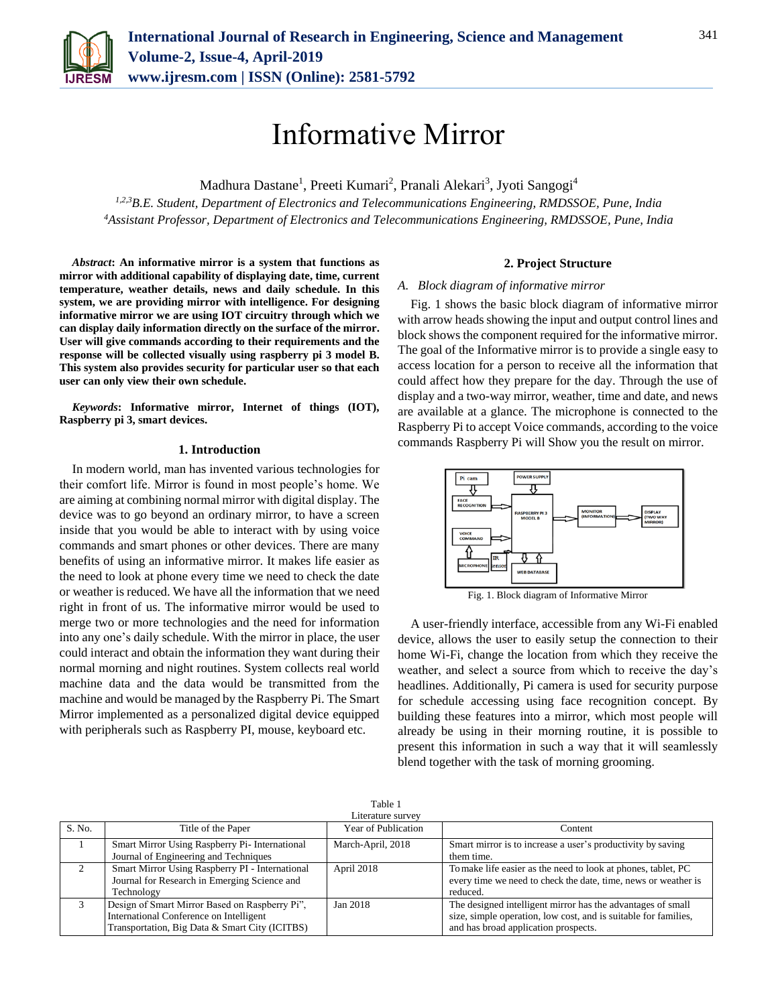

# Informative Mirror

Madhura Dastane<sup>1</sup>, Preeti Kumari<sup>2</sup>, Pranali Alekari<sup>3</sup>, Jyoti Sangogi<sup>4</sup>

*1,2,3B.E. Student, Department of Electronics and Telecommunications Engineering, RMDSSOE, Pune, India <sup>4</sup>Assistant Professor, Department of Electronics and Telecommunications Engineering, RMDSSOE, Pune, India*

*Abstract***: An informative mirror is a system that functions as mirror with additional capability of displaying date, time, current temperature, weather details, news and daily schedule. In this system, we are providing mirror with intelligence. For designing informative mirror we are using IOT circuitry through which we can display daily information directly on the surface of the mirror. User will give commands according to their requirements and the response will be collected visually using raspberry pi 3 model B. This system also provides security for particular user so that each user can only view their own schedule.** 

*Keywords***: Informative mirror, Internet of things (IOT), Raspberry pi 3, smart devices.**

### **1. Introduction**

In modern world, man has invented various technologies for their comfort life. Mirror is found in most people's home. We are aiming at combining normal mirror with digital display. The device was to go beyond an ordinary mirror, to have a screen inside that you would be able to interact with by using voice commands and smart phones or other devices. There are many benefits of using an informative mirror. It makes life easier as the need to look at phone every time we need to check the date or weather is reduced. We have all the information that we need right in front of us. The informative mirror would be used to merge two or more technologies and the need for information into any one's daily schedule. With the mirror in place, the user could interact and obtain the information they want during their normal morning and night routines. System collects real world machine data and the data would be transmitted from the machine and would be managed by the Raspberry Pi. The Smart Mirror implemented as a personalized digital device equipped with peripherals such as Raspberry PI, mouse, keyboard etc.

### **2. Project Structure**

#### *A. Block diagram of informative mirror*

Fig. 1 shows the basic block diagram of informative mirror with arrow heads showing the input and output control lines and block shows the component required for the informative mirror. The goal of the Informative mirror is to provide a single easy to access location for a person to receive all the information that could affect how they prepare for the day. Through the use of display and a two-way mirror, weather, time and date, and news are available at a glance. The microphone is connected to the Raspberry Pi to accept Voice commands, according to the voice commands Raspberry Pi will Show you the result on mirror.



Fig. 1. Block diagram of Informative Mirror

A user-friendly interface, accessible from any Wi-Fi enabled device, allows the user to easily setup the connection to their home Wi-Fi, change the location from which they receive the weather, and select a source from which to receive the day's headlines. Additionally, Pi camera is used for security purpose for schedule accessing using face recognition concept. By building these features into a mirror, which most people will already be using in their morning routine, it is possible to present this information in such a way that it will seamlessly blend together with the task of morning grooming.

| Table 1           |                                                 |                     |                                                                 |
|-------------------|-------------------------------------------------|---------------------|-----------------------------------------------------------------|
| Literature survev |                                                 |                     |                                                                 |
| S. No.            | Title of the Paper                              | Year of Publication | Content                                                         |
|                   | Smart Mirror Using Raspberry Pi- International  | March-April, 2018   | Smart mirror is to increase a user's productivity by saving     |
|                   | Journal of Engineering and Techniques           |                     | them time.                                                      |
|                   | Smart Mirror Using Raspberry PI - International | April 2018          | To make life easier as the need to look at phones, tablet, PC   |
|                   | Journal for Research in Emerging Science and    |                     | every time we need to check the date, time, news or weather is  |
|                   | Technology                                      |                     | reduced.                                                        |
|                   | Design of Smart Mirror Based on Raspberry Pi",  | Jan 2018            | The designed intelligent mirror has the advantages of small     |
|                   | International Conference on Intelligent         |                     | size, simple operation, low cost, and is suitable for families, |
|                   | Transportation, Big Data & Smart City (ICITBS)  |                     | and has broad application prospects.                            |